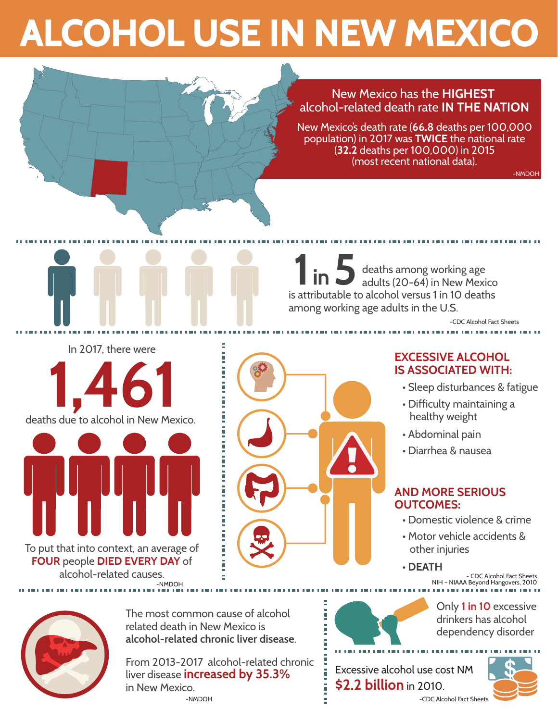# **ALCOHOL USE IN NEW MEXICO**

#### New Mexico has the **HIGHEST**  alcohol-related death rate **IN THE NATION**

New Mexico's death rate (**66.8** deaths per 100,000 population) in 2017 was **TWICE** the national rate (**32.2** deaths per 100,000) in 2015 (most recent national data).

-NMDOH

deaths among working age **1** in 5<sup>3</sup> deaths among working age<br>adults (20-64) in New Mexico is attributable to alcohol versus 1 in 10 deaths among working age adults in the U.S.

-CDC Alcohol Fact Sheets



#### **EXCESSIVE ALCOHOL IS ASSOCIATED WITH:**

- Sleep disturbances & fatigue
- Difficulty maintaining a healthy weight
- Abdominal pain
- Diarrhea & nausea

#### **AND MORE SERIOUS OUTCOMES:**

- Domestic violence & crime
- Motor vehicle accidents & other injuries
- **DEATH**

- CDC Alcohol Fact Sheets NIH – NIAAA Beyond Hangovers, 2010



The most common cause of alcohol related death in New Mexico is **alcohol-related chronic liver disease**.

From 2013-2017 alcohol-related chronic liver disease **increased by 35.3%** in New Mexico.

-NMDOH

-NMDOH

deaths due to alcohol in New Mexico.

To put that into context, an average of **FOUR** people **DIED EVERY DAY** of alcohol-related causes.

In 2017, there were



Only **1 in 10** excessive drinkers has alcohol dependency disorder

Excessive alcohol use cost NM **\$2.2 billion** in 2010. -CDC Alcohol Fact Sheet